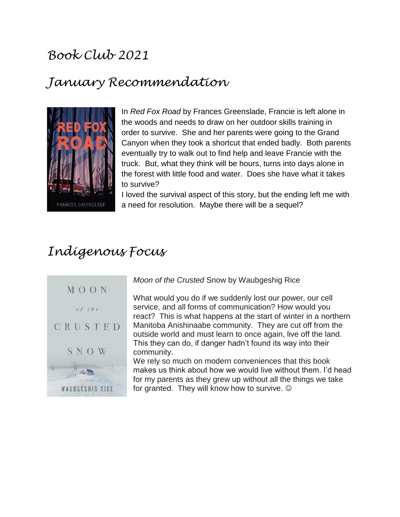### *Book Club 2021*

# *January Recommendation*



In *Red Fox Road* by Frances Greenslade, Francie is left alone in the woods and needs to draw on her outdoor skills training in order to survive. She and her parents were going to the Grand Canyon when they took a shortcut that ended badly. Both parents eventually try to walk out to find help and leave Francie with the truck. But, what they think will be hours, turns into days alone in the forest with little food and water. Does she have what it takes to survive?

I loved the survival aspect of this story, but the ending left me with a need for resolution. Maybe there will be a sequel?

# *Indigenous Focus*



*Moon of the Crusted* Snow by Waubgeshig Rice

What would you do if we suddenly lost our power, our cell service, and all forms of communication? How would you react? This is what happens at the start of winter in a northern Manitoba Anishinaabe community. They are cut off from the outside world and must learn to once again, live off the land. This they can do, if danger hadn't found its way into their community.

We rely so much on modern conveniences that this book makes us think about how we would live without them. I'd head for my parents as they grew up without all the things we take for granted. They will know how to survive.  $\odot$